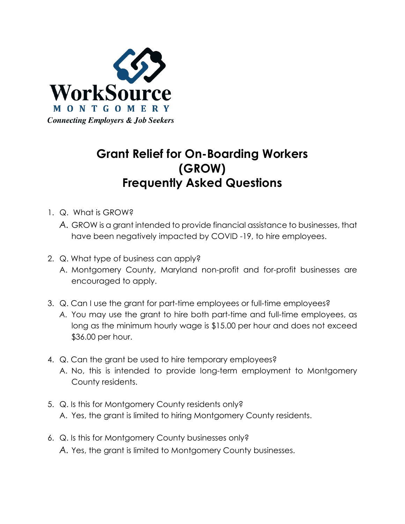

## **Grant Relief for On-Boarding Workers (GROW) Frequently Asked Questions**

- 1. Q. What is GROW?
	- *A.* GROW is a grant intended to provide financial assistance to businesses, that have been negatively impacted by COVID -19, to hire employees.
- 2. Q. What type of business can apply?
	- A. Montgomery County, Maryland non-profit and for-profit businesses are encouraged to apply.
- 3. Q. Can I use the grant for part-time employees or full-time employees?
	- *A.* You may use the grant to hire both part-time and full-time employees, as long as the minimum hourly wage is \$15.00 per hour and does not exceed \$36.00 per hour.
- 4. Q. Can the grant be used to hire temporary employees? A. No, this is intended to provide long-term employment to Montgomery County residents.
- 5. Q. Is this for Montgomery County residents only? A. Yes, the grant is limited to hiring Montgomery County residents.
- 6. Q. Is this for Montgomery County businesses only? *A.* Yes, the grant is limited to Montgomery County businesses.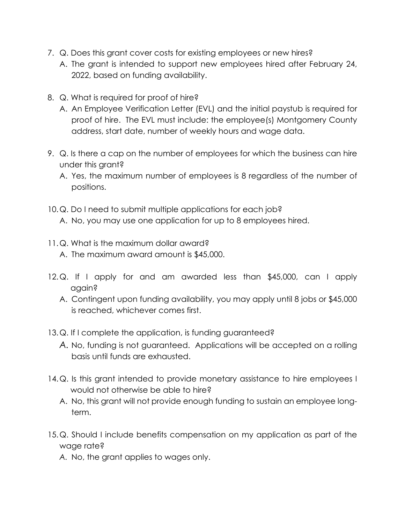- 7. Q. Does this grant cover costs for existing employees or new hires?
	- A. The grant is intended to support new employees hired after February 24, 2022, based on funding availability.
- 8. Q. What is required for proof of hire?
	- A. An Employee Verification Letter (EVL) and the initial paystub is required for proof of hire. The EVL must include: the employee(s) Montgomery County address, start date, number of weekly hours and wage data.
- 9. Q. Is there a cap on the number of employees for which the business can hire under this arant?
	- A. Yes, the maximum number of employees is 8 regardless of the number of positions.
- 10.Q. Do I need to submit multiple applications for each job?
	- A. No, you may use one application for up to 8 employees hired.
- 11.Q. What is the maximum dollar award? A. The maximum award amount is \$45,000.
- 12.Q. If I apply for and am awarded less than \$45,000, can I apply again?
	- A. Contingent upon funding availability, you may apply until 8 jobs or \$45,000 is reached, whichever comes first.
- 13.Q. If I complete the application, is funding guaranteed?
	- *A.* No, funding is not guaranteed. Applications will be accepted on a rolling basis until funds are exhausted.
- 14.Q. Is this grant intended to provide monetary assistance to hire employees I would not otherwise be able to hire?
	- A. No, this grant will not provide enough funding to sustain an employee longterm.
- 15.Q. Should I include benefits compensation on my application as part of the wage rate?
	- *A.* No, the grant applies to wages only.